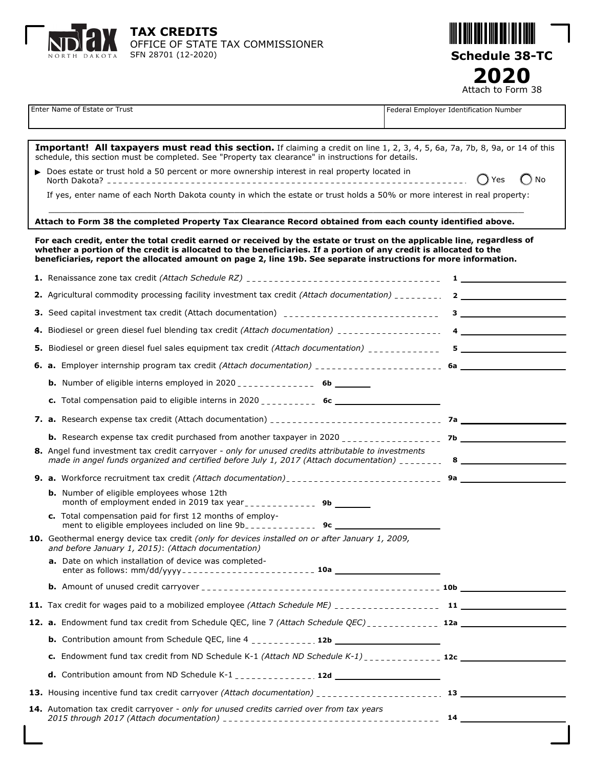



|                                                                                                                                                                                                                                                                                                                                                                 | Enter Name of Estate or Trust                                                                                                                                                                                                        | Federal Employer Identification Number                                                                                                                                                                                            |  |  |
|-----------------------------------------------------------------------------------------------------------------------------------------------------------------------------------------------------------------------------------------------------------------------------------------------------------------------------------------------------------------|--------------------------------------------------------------------------------------------------------------------------------------------------------------------------------------------------------------------------------------|-----------------------------------------------------------------------------------------------------------------------------------------------------------------------------------------------------------------------------------|--|--|
|                                                                                                                                                                                                                                                                                                                                                                 |                                                                                                                                                                                                                                      |                                                                                                                                                                                                                                   |  |  |
|                                                                                                                                                                                                                                                                                                                                                                 | Important! All taxpayers must read this section. If claiming a credit on line 1, 2, 3, 4, 5, 6a, 7a, 7b, 8, 9a, or 14 of this<br>schedule, this section must be completed. See "Property tax clearance" in instructions for details. |                                                                                                                                                                                                                                   |  |  |
|                                                                                                                                                                                                                                                                                                                                                                 | ▶ Does estate or trust hold a 50 percent or more ownership interest in real property located in                                                                                                                                      | () Yes<br>$()$ No                                                                                                                                                                                                                 |  |  |
|                                                                                                                                                                                                                                                                                                                                                                 | If yes, enter name of each North Dakota county in which the estate or trust holds a 50% or more interest in real property:                                                                                                           |                                                                                                                                                                                                                                   |  |  |
| Attach to Form 38 the completed Property Tax Clearance Record obtained from each county identified above.                                                                                                                                                                                                                                                       |                                                                                                                                                                                                                                      |                                                                                                                                                                                                                                   |  |  |
| For each credit, enter the total credit earned or received by the estate or trust on the applicable line, regardless of<br>whether a portion of the credit is allocated to the beneficiaries. If a portion of any credit is allocated to the<br>beneficiaries, report the allocated amount on page 2, line 19b. See separate instructions for more information. |                                                                                                                                                                                                                                      |                                                                                                                                                                                                                                   |  |  |
|                                                                                                                                                                                                                                                                                                                                                                 |                                                                                                                                                                                                                                      | $\mathbf{1}$ . The set of the set of the set of the set of the set of the set of the set of the set of the set of the set of the set of the set of the set of the set of the set of the set of the set of the set of the set of t |  |  |
|                                                                                                                                                                                                                                                                                                                                                                 |                                                                                                                                                                                                                                      |                                                                                                                                                                                                                                   |  |  |
|                                                                                                                                                                                                                                                                                                                                                                 |                                                                                                                                                                                                                                      | $3 - 1$                                                                                                                                                                                                                           |  |  |
|                                                                                                                                                                                                                                                                                                                                                                 |                                                                                                                                                                                                                                      |                                                                                                                                                                                                                                   |  |  |
|                                                                                                                                                                                                                                                                                                                                                                 |                                                                                                                                                                                                                                      |                                                                                                                                                                                                                                   |  |  |
|                                                                                                                                                                                                                                                                                                                                                                 |                                                                                                                                                                                                                                      |                                                                                                                                                                                                                                   |  |  |
|                                                                                                                                                                                                                                                                                                                                                                 |                                                                                                                                                                                                                                      |                                                                                                                                                                                                                                   |  |  |
|                                                                                                                                                                                                                                                                                                                                                                 |                                                                                                                                                                                                                                      |                                                                                                                                                                                                                                   |  |  |
|                                                                                                                                                                                                                                                                                                                                                                 |                                                                                                                                                                                                                                      |                                                                                                                                                                                                                                   |  |  |
|                                                                                                                                                                                                                                                                                                                                                                 |                                                                                                                                                                                                                                      |                                                                                                                                                                                                                                   |  |  |
|                                                                                                                                                                                                                                                                                                                                                                 | 8. Angel fund investment tax credit carryover - only for unused credits attributable to investments                                                                                                                                  |                                                                                                                                                                                                                                   |  |  |
|                                                                                                                                                                                                                                                                                                                                                                 |                                                                                                                                                                                                                                      |                                                                                                                                                                                                                                   |  |  |
|                                                                                                                                                                                                                                                                                                                                                                 | <b>b.</b> Number of eligible employees whose 12th                                                                                                                                                                                    |                                                                                                                                                                                                                                   |  |  |
|                                                                                                                                                                                                                                                                                                                                                                 | c. Total compensation paid for first 12 months of employ-                                                                                                                                                                            |                                                                                                                                                                                                                                   |  |  |
|                                                                                                                                                                                                                                                                                                                                                                 | 10. Geothermal energy device tax credit (only for devices installed on or after January 1, 2009,<br>and before January 1, 2015): (Attach documentation)                                                                              |                                                                                                                                                                                                                                   |  |  |
|                                                                                                                                                                                                                                                                                                                                                                 | a. Date on which installation of device was completed-                                                                                                                                                                               |                                                                                                                                                                                                                                   |  |  |
|                                                                                                                                                                                                                                                                                                                                                                 |                                                                                                                                                                                                                                      |                                                                                                                                                                                                                                   |  |  |
|                                                                                                                                                                                                                                                                                                                                                                 |                                                                                                                                                                                                                                      |                                                                                                                                                                                                                                   |  |  |
|                                                                                                                                                                                                                                                                                                                                                                 |                                                                                                                                                                                                                                      |                                                                                                                                                                                                                                   |  |  |
|                                                                                                                                                                                                                                                                                                                                                                 |                                                                                                                                                                                                                                      |                                                                                                                                                                                                                                   |  |  |
|                                                                                                                                                                                                                                                                                                                                                                 |                                                                                                                                                                                                                                      |                                                                                                                                                                                                                                   |  |  |
|                                                                                                                                                                                                                                                                                                                                                                 |                                                                                                                                                                                                                                      |                                                                                                                                                                                                                                   |  |  |
|                                                                                                                                                                                                                                                                                                                                                                 |                                                                                                                                                                                                                                      |                                                                                                                                                                                                                                   |  |  |
|                                                                                                                                                                                                                                                                                                                                                                 | 14. Automation tax credit carryover - only for unused credits carried over from tax years                                                                                                                                            |                                                                                                                                                                                                                                   |  |  |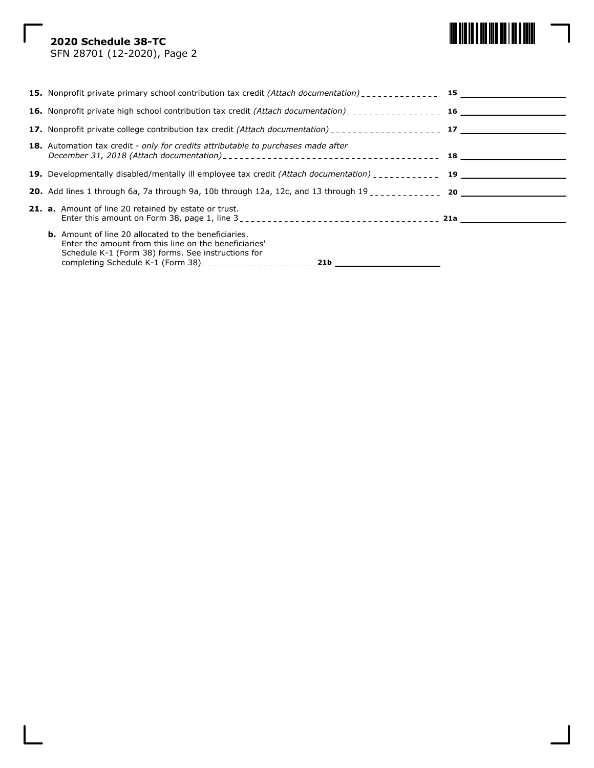# **2020 Schedule 38-TC**



SFN 28701 (12-2020), Page 2

| <b>16.</b> Nonprofit private high school contribution tax credit (Attach documentation)                                                                                                                                |  |
|------------------------------------------------------------------------------------------------------------------------------------------------------------------------------------------------------------------------|--|
| 17. Nonprofit private college contribution tax credit <i>(Attach documentation</i> ) <sub>--------------------- 17</sub>                                                                                               |  |
| <b>18.</b> Automation tax credit - only for credits attributable to purchases made after                                                                                                                               |  |
| 19. Developmentally disabled/mentally ill employee tax credit (Attach documentation) _______________ 19                                                                                                                |  |
| <b>20.</b> Add lines 1 through 6a, 7a through 9a, 10b through 12a, 12c, and 13 through $19_{\text{max}}$                                                                                                               |  |
| <b>21. a.</b> Amount of line 20 retained by estate or trust.                                                                                                                                                           |  |
| <b>b.</b> Amount of line 20 allocated to the beneficiaries.<br>Enter the amount from this line on the beneficiaries'<br>Schedule K-1 (Form 38) forms. See instructions for<br>completing Schedule K-1 (Form 38)<br>21b |  |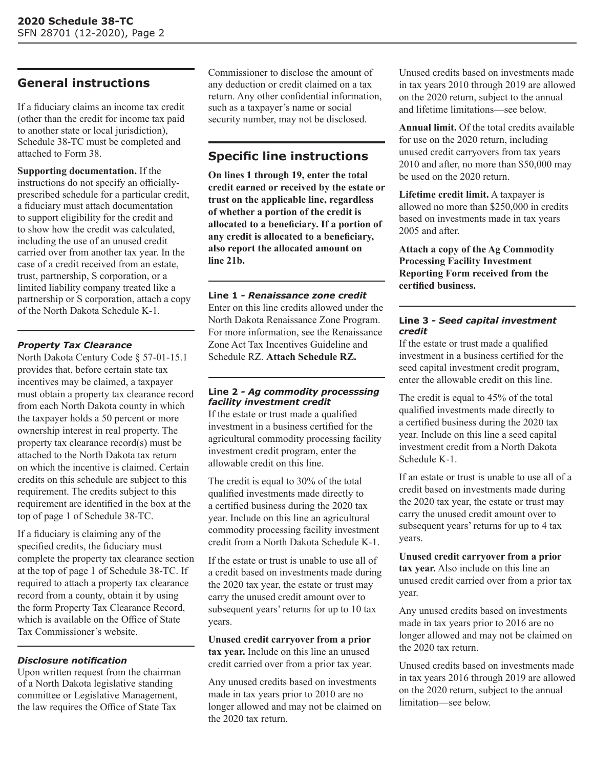# **General instructions**

If a fiduciary claims an income tax credit (other than the credit for income tax paid to another state or local jurisdiction), Schedule 38-TC must be completed and attached to Form 38.

**Supporting documentation.** If the instructions do not specify an officiallyprescribed schedule for a particular credit, a fiduciary must attach documentation to support eligibility for the credit and to show how the credit was calculated, including the use of an unused credit carried over from another tax year. In the case of a credit received from an estate, trust, partnership, S corporation, or a limited liability company treated like a partnership or S corporation, attach a copy of the North Dakota Schedule K-1.

## *Property Tax Clearance*

North Dakota Century Code § 57-01-15.1 provides that, before certain state tax incentives may be claimed, a taxpayer must obtain a property tax clearance record from each North Dakota county in which the taxpayer holds a 50 percent or more ownership interest in real property. The property tax clearance record(s) must be attached to the North Dakota tax return on which the incentive is claimed. Certain credits on this schedule are subject to this requirement. The credits subject to this requirement are identified in the box at the top of page 1 of Schedule 38-TC.

If a fiduciary is claiming any of the specified credits, the fiduciary must complete the property tax clearance section at the top of page 1 of Schedule 38-TC. If required to attach a property tax clearance record from a county, obtain it by using the form Property Tax Clearance Record, which is available on the Office of State Tax Commissioner's website.

# *Disclosure notification*

Upon written request from the chairman of a North Dakota legislative standing committee or Legislative Management, the law requires the Office of State Tax

Commissioner to disclose the amount of any deduction or credit claimed on a tax return. Any other confidential information, such as a taxpayer's name or social security number, may not be disclosed.

# **Specific line instructions**

**On lines 1 through 19, enter the total credit earned or received by the estate or trust on the applicable line, regardless of whether a portion of the credit is allocated to a beneficiary. If a portion of any credit is allocated to a beneficiary, also report the allocated amount on line 21b.**

#### **Line 1** *- Renaissance zone credit*

Enter on this line credits allowed under the North Dakota Renaissance Zone Program. For more information, see the Renaissance Zone Act Tax Incentives Guideline and Schedule RZ. **Attach Schedule RZ.**

#### **Line 2** *- Ag commodity processsing facility investment credit*

If the estate or trust made a qualified investment in a business certified for the agricultural commodity processing facility investment credit program, enter the allowable credit on this line.

The credit is equal to 30% of the total qualified investments made directly to a certified business during the 2020 tax year. Include on this line an agricultural commodity processing facility investment credit from a North Dakota Schedule K-1.

If the estate or trust is unable to use all of a credit based on investments made during the 2020 tax year, the estate or trust may carry the unused credit amount over to subsequent years' returns for up to 10 tax years.

**Unused credit carryover from a prior tax year.** Include on this line an unused credit carried over from a prior tax year.

Any unused credits based on investments made in tax years prior to 2010 are no longer allowed and may not be claimed on the 2020 tax return.

Unused credits based on investments made in tax years 2010 through 2019 are allowed on the 2020 return, subject to the annual and lifetime limitations—see below.

**Annual limit.** Of the total credits available for use on the 2020 return, including unused credit carryovers from tax years 2010 and after, no more than \$50,000 may be used on the 2020 return.

**Lifetime credit limit.** A taxpayer is allowed no more than \$250,000 in credits based on investments made in tax years 2005 and after.

**Attach a copy of the Ag Commodity Processing Facility Investment Reporting Form received from the certified business.**

#### **Line 3** *- Seed capital investment credit*

If the estate or trust made a qualified investment in a business certified for the seed capital investment credit program, enter the allowable credit on this line.

The credit is equal to 45% of the total qualified investments made directly to a certified business during the 2020 tax year. Include on this line a seed capital investment credit from a North Dakota Schedule K-1.

If an estate or trust is unable to use all of a credit based on investments made during the 2020 tax year, the estate or trust may carry the unused credit amount over to subsequent years' returns for up to 4 tax years.

**Unused credit carryover from a prior tax year.** Also include on this line an unused credit carried over from a prior tax year.

Any unused credits based on investments made in tax years prior to 2016 are no longer allowed and may not be claimed on the 2020 tax return.

Unused credits based on investments made in tax years 2016 through 2019 are allowed on the 2020 return, subject to the annual limitation—see below.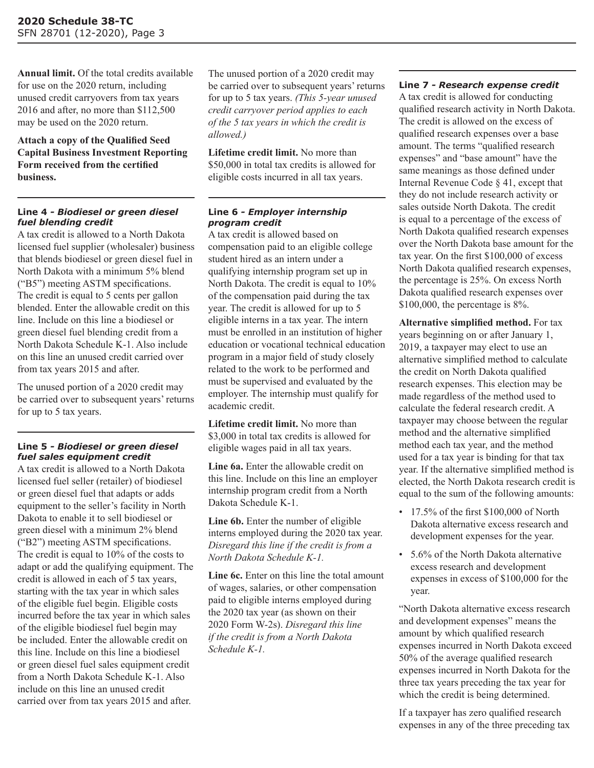**Annual limit.** Of the total credits available for use on the 2020 return, including unused credit carryovers from tax years 2016 and after, no more than \$112,500 may be used on the 2020 return.

**Attach a copy of the Qualified Seed Capital Business Investment Reporting Form received from the certified business.**

#### **Line 4** *- Biodiesel or green diesel fuel blending credit*

A tax credit is allowed to a North Dakota licensed fuel supplier (wholesaler) business that blends biodiesel or green diesel fuel in North Dakota with a minimum 5% blend ("B5") meeting ASTM specifications. The credit is equal to 5 cents per gallon blended. Enter the allowable credit on this line. Include on this line a biodiesel or green diesel fuel blending credit from a North Dakota Schedule K-1. Also include on this line an unused credit carried over from tax years 2015 and after.

The unused portion of a 2020 credit may be carried over to subsequent years' returns for up to 5 tax years.

## **Line 5** *- Biodiesel or green diesel fuel sales equipment credit*

A tax credit is allowed to a North Dakota licensed fuel seller (retailer) of biodiesel or green diesel fuel that adapts or adds equipment to the seller's facility in North Dakota to enable it to sell biodiesel or green diesel with a minimum 2% blend ("B2") meeting ASTM specifications. The credit is equal to 10% of the costs to adapt or add the qualifying equipment. The credit is allowed in each of 5 tax years, starting with the tax year in which sales of the eligible fuel begin. Eligible costs incurred before the tax year in which sales of the eligible biodiesel fuel begin may be included. Enter the allowable credit on this line. Include on this line a biodiesel or green diesel fuel sales equipment credit from a North Dakota Schedule K-1. Also include on this line an unused credit carried over from tax years 2015 and after.

The unused portion of a 2020 credit may be carried over to subsequent years' returns for up to 5 tax years. *(This 5-year unused credit carryover period applies to each of the 5 tax years in which the credit is allowed.)*

**Lifetime credit limit.** No more than \$50,000 in total tax credits is allowed for eligible costs incurred in all tax years.

#### **Line 6** *- Employer internship program credit*

A tax credit is allowed based on compensation paid to an eligible college student hired as an intern under a qualifying internship program set up in North Dakota. The credit is equal to 10% of the compensation paid during the tax year. The credit is allowed for up to 5 eligible interns in a tax year. The intern must be enrolled in an institution of higher education or vocational technical education program in a major field of study closely related to the work to be performed and must be supervised and evaluated by the employer. The internship must qualify for academic credit.

**Lifetime credit limit.** No more than \$3,000 in total tax credits is allowed for eligible wages paid in all tax years.

**Line 6a.** Enter the allowable credit on this line. Include on this line an employer internship program credit from a North Dakota Schedule K-1.

**Line 6b.** Enter the number of eligible interns employed during the 2020 tax year. *Disregard this line if the credit is from a North Dakota Schedule K-1.*

**Line 6c.** Enter on this line the total amount of wages, salaries, or other compensation paid to eligible interns employed during the 2020 tax year (as shown on their 2020 Form W-2s). *Disregard this line if the credit is from a North Dakota Schedule K-1.*

#### **Line 7** *- Research expense credit*

A tax credit is allowed for conducting qualified research activity in North Dakota. The credit is allowed on the excess of qualified research expenses over a base amount. The terms "qualified research expenses" and "base amount" have the same meanings as those defined under Internal Revenue Code § 41, except that they do not include research activity or sales outside North Dakota. The credit is equal to a percentage of the excess of North Dakota qualified research expenses over the North Dakota base amount for the tax year. On the first \$100,000 of excess North Dakota qualified research expenses, the percentage is 25%. On excess North Dakota qualified research expenses over \$100,000, the percentage is 8%.

**Alternative simplified method.** For tax years beginning on or after January 1, 2019, a taxpayer may elect to use an alternative simplified method to calculate the credit on North Dakota qualified research expenses. This election may be made regardless of the method used to calculate the federal research credit. A taxpayer may choose between the regular method and the alternative simplified method each tax year, and the method used for a tax year is binding for that tax year. If the alternative simplified method is elected, the North Dakota research credit is equal to the sum of the following amounts:

- $\cdot$  17.5% of the first \$100,000 of North Dakota alternative excess research and development expenses for the year.
- 5.6% of the North Dakota alternative excess research and development expenses in excess of \$100,000 for the year.

"North Dakota alternative excess research and development expenses" means the amount by which qualified research expenses incurred in North Dakota exceed 50% of the average qualified research expenses incurred in North Dakota for the three tax years preceding the tax year for which the credit is being determined.

If a taxpayer has zero qualified research expenses in any of the three preceding tax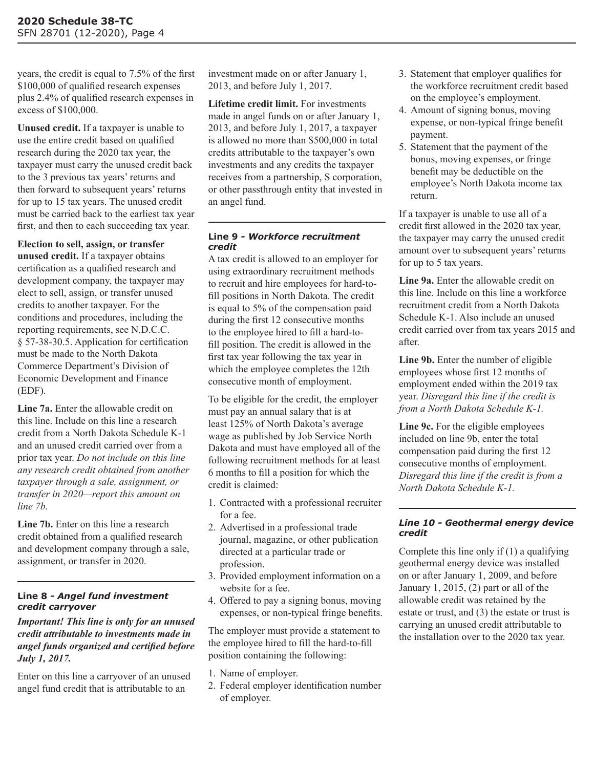years, the credit is equal to 7.5% of the first \$100,000 of qualified research expenses plus 2.4% of qualified research expenses in excess of \$100,000.

**Unused credit.** If a taxpayer is unable to use the entire credit based on qualified research during the 2020 tax year, the taxpayer must carry the unused credit back to the 3 previous tax years' returns and then forward to subsequent years' returns for up to 15 tax years. The unused credit must be carried back to the earliest tax year first, and then to each succeeding tax year.

**Election to sell, assign, or transfer unused credit.** If a taxpayer obtains certification as a qualified research and development company, the taxpayer may elect to sell, assign, or transfer unused credits to another taxpayer. For the conditions and procedures, including the reporting requirements, see N.D.C.C. § 57-38-30.5. Application for certification must be made to the North Dakota Commerce Department's Division of Economic Development and Finance (EDF).

**Line 7a.** Enter the allowable credit on this line. Include on this line a research credit from a North Dakota Schedule K-1 and an unused credit carried over from a prior tax year. *Do not include on this line any research credit obtained from another taxpayer through a sale, assignment, or transfer in 2020—report this amount on line 7b.*

**Line 7b.** Enter on this line a research credit obtained from a qualified research and development company through a sale, assignment, or transfer in 2020.

#### **Line 8 -** *Angel fund investment credit carryover*

*Important! This line is only for an unused credit attributable to investments made in angel funds organized and certified before July 1, 2017.*

Enter on this line a carryover of an unused angel fund credit that is attributable to an

investment made on or after January 1, 2013, and before July 1, 2017.

**Lifetime credit limit.** For investments made in angel funds on or after January 1, 2013, and before July 1, 2017, a taxpayer is allowed no more than \$500,000 in total credits attributable to the taxpayer's own investments and any credits the taxpayer receives from a partnership, S corporation, or other passthrough entity that invested in an angel fund.

#### **Line 9** *- Workforce recruitment credit*

A tax credit is allowed to an employer for using extraordinary recruitment methods to recruit and hire employees for hard-tofill positions in North Dakota. The credit is equal to 5% of the compensation paid during the first 12 consecutive months to the employee hired to fill a hard-tofill position. The credit is allowed in the first tax year following the tax year in which the employee completes the 12th consecutive month of employment.

To be eligible for the credit, the employer must pay an annual salary that is at least 125% of North Dakota's average wage as published by Job Service North Dakota and must have employed all of the following recruitment methods for at least 6 months to fill a position for which the credit is claimed:

- 1. Contracted with a professional recruiter for a fee.
- 2. Advertised in a professional trade journal, magazine, or other publication directed at a particular trade or profession.
- 3. Provided employment information on a website for a fee.
- 4. Offered to pay a signing bonus, moving expenses, or non-typical fringe benefits.

The employer must provide a statement to the employee hired to fill the hard-to-fill position containing the following:

- 1. Name of employer.
- 2. Federal employer identification number of employer.
- 3. Statement that employer qualifies for the workforce recruitment credit based on the employee's employment.
- 4. Amount of signing bonus, moving expense, or non-typical fringe benefit payment.
- 5. Statement that the payment of the bonus, moving expenses, or fringe benefit may be deductible on the employee's North Dakota income tax return.

If a taxpayer is unable to use all of a credit first allowed in the 2020 tax year, the taxpayer may carry the unused credit amount over to subsequent years' returns for up to 5 tax years.

**Line 9a.** Enter the allowable credit on this line. Include on this line a workforce recruitment credit from a North Dakota Schedule K-1. Also include an unused credit carried over from tax years 2015 and after.

**Line 9b.** Enter the number of eligible employees whose first 12 months of employment ended within the 2019 tax year. *Disregard this line if the credit is from a North Dakota Schedule K-1.*

**Line 9c.** For the eligible employees included on line 9b, enter the total compensation paid during the first 12 consecutive months of employment. *Disregard this line if the credit is from a North Dakota Schedule K-1.*

#### *Line 10 - Geothermal energy device credit*

Complete this line only if (1) a qualifying geothermal energy device was installed on or after January 1, 2009, and before January 1, 2015, (2) part or all of the allowable credit was retained by the estate or trust, and (3) the estate or trust is carrying an unused credit attributable to the installation over to the 2020 tax year.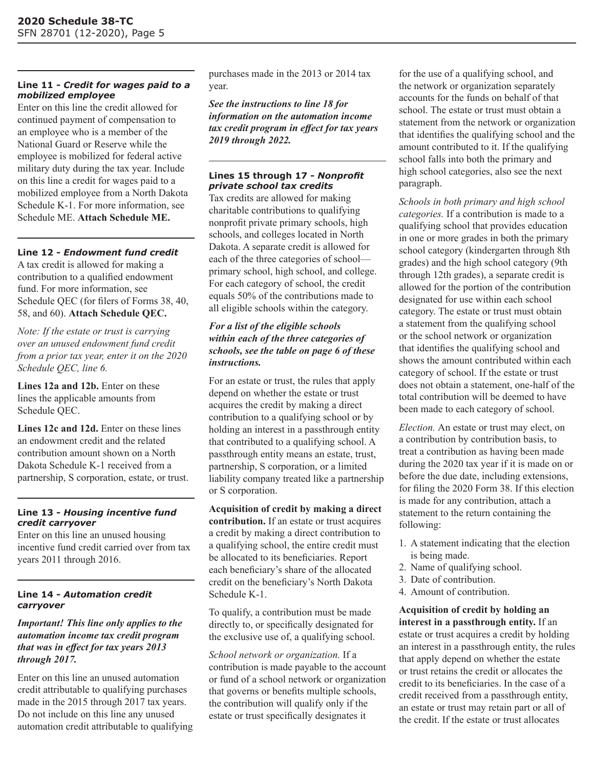# **Line 11 -** *Credit for wages paid to a mobilized employee*

Enter on this line the credit allowed for continued payment of compensation to an employee who is a member of the National Guard or Reserve while the employee is mobilized for federal active military duty during the tax year. Include on this line a credit for wages paid to a mobilized employee from a North Dakota Schedule K-1. For more information, see Schedule ME. **Attach Schedule ME.**

# **Line 12 -** *Endowment fund credit*

A tax credit is allowed for making a contribution to a qualified endowment fund. For more information, see Schedule QEC (for filers of Forms 38, 40, 58, and 60). **Attach Schedule QEC.**

*Note: If the estate or trust is carrying over an unused endowment fund credit from a prior tax year, enter it on the 2020 Schedule QEC, line 6.*

Lines 12a and 12b. Enter on these lines the applicable amounts from Schedule QEC.

**Lines 12c and 12d.** Enter on these lines an endowment credit and the related contribution amount shown on a North Dakota Schedule K-1 received from a partnership, S corporation, estate, or trust.

## **Line 13 -** *Housing incentive fund credit carryover*

Enter on this line an unused housing incentive fund credit carried over from tax years 2011 through 2016.

# **Line 14 -** *Automation credit carryover*

# *Important! This line only applies to the automation income tax credit program that was in effect for tax years 2013 through 2017.*

Enter on this line an unused automation credit attributable to qualifying purchases made in the 2015 through 2017 tax years. Do not include on this line any unused automation credit attributable to qualifying purchases made in the 2013 or 2014 tax year.

*See the instructions to line 18 for information on the automation income tax credit program in effect for tax years 2019 through 2022.*

## **Lines 15 through 17 -** *Nonprofit private school tax credits*

Tax credits are allowed for making charitable contributions to qualifying nonprofit private primary schools, high schools, and colleges located in North Dakota. A separate credit is allowed for each of the three categories of school primary school, high school, and college. For each category of school, the credit equals 50% of the contributions made to all eligible schools within the category.

## *For a list of the eligible schools within each of the three categories of schools, see the table on page 6 of these instructions.*

For an estate or trust, the rules that apply depend on whether the estate or trust acquires the credit by making a direct contribution to a qualifying school or by holding an interest in a passthrough entity that contributed to a qualifying school. A passthrough entity means an estate, trust, partnership, S corporation, or a limited liability company treated like a partnership or S corporation.

**Acquisition of credit by making a direct contribution.** If an estate or trust acquires a credit by making a direct contribution to a qualifying school, the entire credit must be allocated to its beneficiaries. Report each beneficiary's share of the allocated credit on the beneficiary's North Dakota Schedule K-1.

To qualify, a contribution must be made directly to, or specifically designated for the exclusive use of, a qualifying school.

*School network or organization.* If a contribution is made payable to the account or fund of a school network or organization that governs or benefits multiple schools, the contribution will qualify only if the estate or trust specifically designates it

for the use of a qualifying school, and the network or organization separately accounts for the funds on behalf of that school. The estate or trust must obtain a statement from the network or organization that identifies the qualifying school and the amount contributed to it. If the qualifying school falls into both the primary and high school categories, also see the next paragraph.

*Schools in both primary and high school categories.* If a contribution is made to a qualifying school that provides education in one or more grades in both the primary school category (kindergarten through 8th grades) and the high school category (9th through 12th grades), a separate credit is allowed for the portion of the contribution designated for use within each school category. The estate or trust must obtain a statement from the qualifying school or the school network or organization that identifies the qualifying school and shows the amount contributed within each category of school. If the estate or trust does not obtain a statement, one-half of the total contribution will be deemed to have been made to each category of school.

*Election.* An estate or trust may elect, on a contribution by contribution basis, to treat a contribution as having been made during the 2020 tax year if it is made on or before the due date, including extensions, for filing the 2020 Form 38. If this election is made for any contribution, attach a statement to the return containing the following:

- 1. A statement indicating that the election is being made.
- 2. Name of qualifying school.
- 3. Date of contribution.
- 4. Amount of contribution.

**Acquisition of credit by holding an interest in a passthrough entity.** If an estate or trust acquires a credit by holding an interest in a passthrough entity, the rules that apply depend on whether the estate or trust retains the credit or allocates the credit to its beneficiaries. In the case of a credit received from a passthrough entity, an estate or trust may retain part or all of the credit. If the estate or trust allocates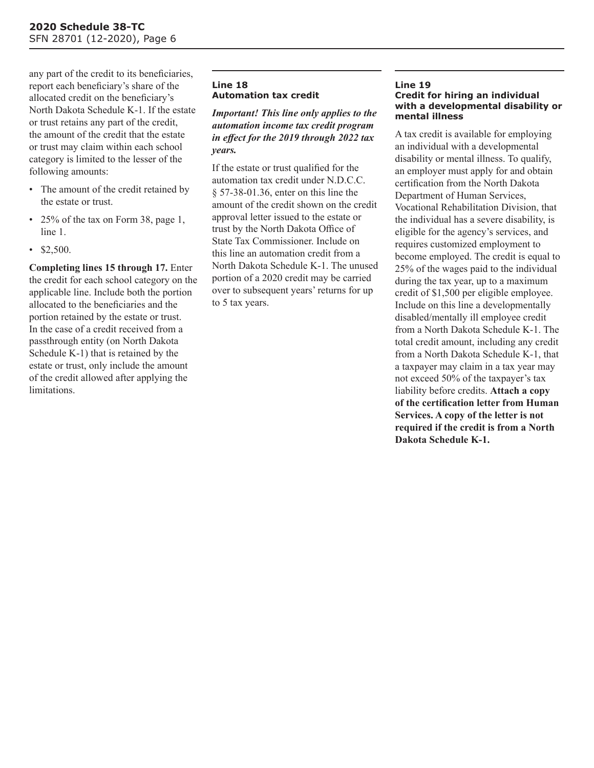any part of the credit to its beneficiaries, report each beneficiary's share of the allocated credit on the beneficiary's North Dakota Schedule K-1. If the estate or trust retains any part of the credit, the amount of the credit that the estate or trust may claim within each school category is limited to the lesser of the following amounts:

- The amount of the credit retained by the estate or trust.
- 25% of the tax on Form 38, page 1, line 1.
- \$2,500.

**Completing lines 15 through 17.** Enter the credit for each school category on the applicable line. Include both the portion allocated to the beneficiaries and the portion retained by the estate or trust. In the case of a credit received from a passthrough entity (on North Dakota Schedule K-1) that is retained by the estate or trust, only include the amount of the credit allowed after applying the limitations.

# **Line 18 Automation tax credit**

## *Important! This line only applies to the automation income tax credit program in effect for the 2019 through 2022 tax years.*

If the estate or trust qualified for the automation tax credit under N.D.C.C. § 57-38-01.36, enter on this line the amount of the credit shown on the credit approval letter issued to the estate or trust by the North Dakota Office of State Tax Commissioner. Include on this line an automation credit from a North Dakota Schedule K-1. The unused portion of a 2020 credit may be carried over to subsequent years' returns for up to 5 tax years.

#### **Line 19 Credit for hiring an individual with a developmental disability or mental illness**

A tax credit is available for employing an individual with a developmental disability or mental illness. To qualify, an employer must apply for and obtain certification from the North Dakota Department of Human Services. Vocational Rehabilitation Division, that the individual has a severe disability, is eligible for the agency's services, and requires customized employment to become employed. The credit is equal to 25% of the wages paid to the individual during the tax year, up to a maximum credit of \$1,500 per eligible employee. Include on this line a developmentally disabled/mentally ill employee credit from a North Dakota Schedule K-1. The total credit amount, including any credit from a North Dakota Schedule K-1, that a taxpayer may claim in a tax year may not exceed 50% of the taxpayer's tax liability before credits. **Attach a copy of the certification letter from Human Services. A copy of the letter is not required if the credit is from a North Dakota Schedule K-1.**